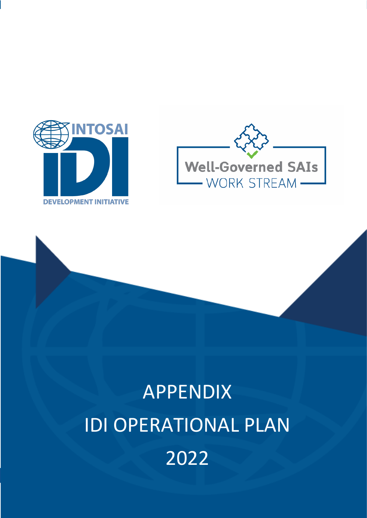



# APPENDIX IDI OPERATIONAL PLAN 2022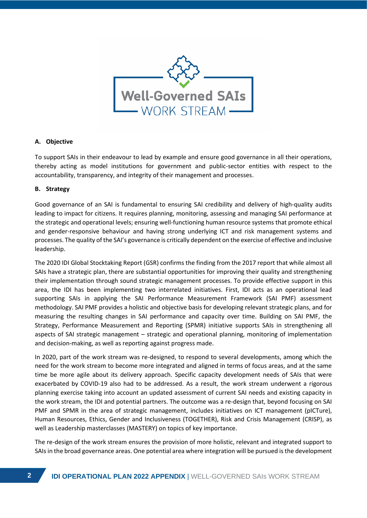

#### **A. Objective**

To support SAIs in their endeavour to lead by example and ensure good governance in all their operations, thereby acting as model institutions for government and public-sector entities with respect to the accountability, transparency, and integrity of their management and processes.

#### **B. Strategy**

Good governance of an SAI is fundamental to ensuring SAI credibility and delivery of high-quality audits leading to impact for citizens. It requires planning, monitoring, assessing and managing SAI performance at the strategic and operational levels; ensuring well-functioning human resource systems that promote ethical and gender-responsive behaviour and having strong underlying ICT and risk management systems and processes. The quality of the SAI's governance is critically dependent on the exercise of effective and inclusive leadership.

The 2020 IDI Global Stocktaking Report (GSR) confirms the finding from the 2017 report that while almost all SAIs have a strategic plan, there are substantial opportunities for improving their quality and strengthening their implementation through sound strategic management processes. To provide effective support in this area, the IDI has been implementing two interrelated initiatives. First, IDI acts as an operational lead supporting SAIs in applying the SAI Performance Measurement Framework (SAI PMF) assessment methodology. SAI PMF provides a holistic and objective basis for developing relevant strategic plans, and for measuring the resulting changes in SAI performance and capacity over time. Building on SAI PMF, the Strategy, Performance Measurement and Reporting (SPMR) initiative supports SAIs in strengthening all aspects of SAI strategic management – strategic and operational planning, monitoring of implementation and decision-making, as well as reporting against progress made.

In 2020, part of the work stream was re-designed, to respond to several developments, among which the need for the work stream to become more integrated and aligned in terms of focus areas, and at the same time be more agile about its delivery approach. Specific capacity development needs of SAIs that were exacerbated by COVID-19 also had to be addressed. As a result, the work stream underwent a rigorous planning exercise taking into account an updated assessment of current SAI needs and existing capacity in the work stream, the IDI and potential partners. The outcome was a re-design that, beyond focusing on SAI PMF and SPMR in the area of strategic management, includes initiatives on ICT management (pICTure), Human Resources, Ethics, Gender and Inclusiveness (TOGETHER), Risk and Crisis Management (CRISP), as well as Leadership masterclasses (MASTERY) on topics of key importance.

The re-design of the work stream ensures the provision of more holistic, relevant and integrated support to SAIs in the broad governance areas. One potential area where integration will be pursued is the development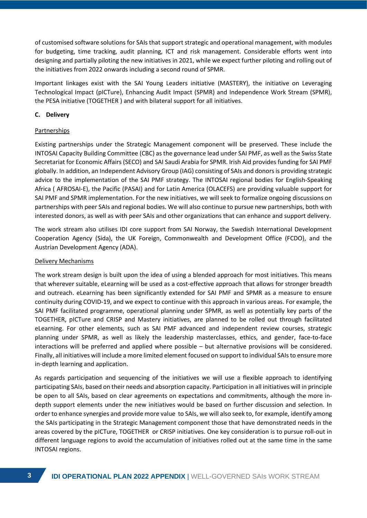of customised software solutions for SAIs that support strategic and operational management, with modules for budgeting, time tracking, audit planning, ICT and risk management. Considerable efforts went into designing and partially piloting the new initiatives in 2021, while we expect further piloting and rolling out of the initiatives from 2022 onwards including a second round of SPMR.

Important linkages exist with the SAI Young Leaders initiative (MASTERY), the initiative on Leveraging Technological Impact (pICTure), Enhancing Audit Impact (SPMR) and Independence Work Stream (SPMR), the PESA initiative (TOGETHER ) and with bilateral support for all initiatives.

#### **C. Delivery**

#### **Partnerships**

Existing partnerships under the Strategic Management component will be preserved. These include the INTOSAI Capacity Building Committee (CBC) as the governance lead under SAI PMF, as well as the Swiss State Secretariat for Economic Affairs (SECO) and SAI Saudi Arabia for SPMR. Irish Aid provides funding for SAI PMF globally. In addition, an Independent Advisory Group (IAG) consisting of SAIs and donors is providing strategic advice to the implementation of the SAI PMF strategy. The INTOSAI regional bodies for English-Speaking Africa ( AFROSAI-E), the Pacific (PASAI) and for Latin America (OLACEFS) are providing valuable support for SAI PMF and SPMR implementation. For the new initiatives, we will seek to formalize ongoing discussions on partnerships with peer SAIs and regional bodies. We will also continue to pursue new partnerships, both with interested donors, as well as with peer SAIs and other organizations that can enhance and support delivery.

The work stream also utilises IDI core support from SAI Norway, the Swedish International Development Cooperation Agency (Sida), the UK Foreign, Commonwealth and Development Office (FCDO), and the Austrian Development Agency (ADA).

#### Delivery Mechanisms

The work stream design is built upon the idea of using a blended approach for most initiatives. This means that wherever suitable, eLearning will be used as a cost-effective approach that allows for stronger breadth and outreach. eLearning has been significantly extended for SAI PMF and SPMR as a measure to ensure continuity during COVID-19, and we expect to continue with this approach in various areas. For example, the SAI PMF facilitated programme, operational planning under SPMR, as well as potentially key parts of the TOGETHER, pICTure and CRISP and Mastery initiatives, are planned to be rolled out through facilitated eLearning. For other elements, such as SAI PMF advanced and independent review courses, strategic planning under SPMR, as well as likely the leadership masterclasses, ethics, and gender, face-to-face interactions will be preferred and applied where possible – but alternative provisions will be considered. Finally, all initiatives will include a more limited element focused on support to individual SAIs to ensure more in-depth learning and application.

As regards participation and sequencing of the initiatives we will use a flexible approach to identifying participating SAIs, based on their needs and absorption capacity. Participation in all initiatives will in principle be open to all SAIs, based on clear agreements on expectations and commitments, although the more indepth support elements under the new initiatives would be based on further discussion and selection. In order to enhance synergies and provide more value to SAIs, we will also seek to, for example, identify among the SAIs participating in the Strategic Management component those that have demonstrated needs in the areas covered by the pICTure, TOGETHER or CRISP initiatives. One key consideration is to pursue roll-out in different language regions to avoid the accumulation of initiatives rolled out at the same time in the same INTOSAI regions.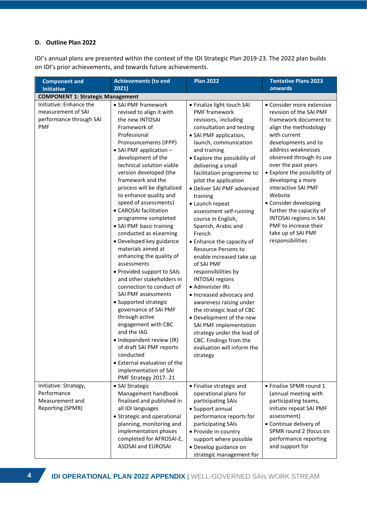### **D. Outline Plan 2022**

IDI's annual plans are presented within the context of the IDI Strategic Plan 2019-23. The 2022 plan builds on IDI's prior achievements, and towards future achievements.

| <b>Component and</b><br><b>Initiative</b>                                              | <b>Achievements (to end</b><br>2021)                                                                                                                                                                                                                                                                                                                                                                                                                                                                                                                                                                                                                                                                                                                                                                                                                                                                                          | <b>Plan 2022</b>                                                                                                                                                                                                                                                                                                                                                                                                                                                                                                                                                                                                                                                                                                                                                                                                                                           | <b>Tentative Plans 2023</b><br>onwards                                                                                                                                                                                                                                                                                                                                                                                                                                |
|----------------------------------------------------------------------------------------|-------------------------------------------------------------------------------------------------------------------------------------------------------------------------------------------------------------------------------------------------------------------------------------------------------------------------------------------------------------------------------------------------------------------------------------------------------------------------------------------------------------------------------------------------------------------------------------------------------------------------------------------------------------------------------------------------------------------------------------------------------------------------------------------------------------------------------------------------------------------------------------------------------------------------------|------------------------------------------------------------------------------------------------------------------------------------------------------------------------------------------------------------------------------------------------------------------------------------------------------------------------------------------------------------------------------------------------------------------------------------------------------------------------------------------------------------------------------------------------------------------------------------------------------------------------------------------------------------------------------------------------------------------------------------------------------------------------------------------------------------------------------------------------------------|-----------------------------------------------------------------------------------------------------------------------------------------------------------------------------------------------------------------------------------------------------------------------------------------------------------------------------------------------------------------------------------------------------------------------------------------------------------------------|
| <b>COMPONENT 1: Strategic Management</b>                                               |                                                                                                                                                                                                                                                                                                                                                                                                                                                                                                                                                                                                                                                                                                                                                                                                                                                                                                                               |                                                                                                                                                                                                                                                                                                                                                                                                                                                                                                                                                                                                                                                                                                                                                                                                                                                            |                                                                                                                                                                                                                                                                                                                                                                                                                                                                       |
| Initiative: Enhance the<br>measurement of SAI<br>performance through SAI<br><b>PMF</b> | • SAI PMF framework<br>revised to align it with<br>the new INTOSAI<br>Framework of<br>Professional<br>Pronouncements (IFPP)<br>• SAI PMF application -<br>development of the<br>technical solution viable<br>version developed (the<br>framework and the<br>process will be digitalized<br>to enhance quality and<br>speed of assessments)<br>• CAROSAI facilitation<br>programme completed<br>• SAI PMF basic training<br>conducted as eLearning<br>• Developed key guidance<br>materials aimed at<br>enhancing the quality of<br>assessments<br>• Provided support to SAIs<br>and other stakeholders in<br>connection to conduct of<br>SAI PMF assessments<br>• Supported strategic<br>governance of SAI PMF<br>through active<br>engagement with CBC<br>and the IAG<br>• Independent review (IR)<br>of draft SAI PMF reports<br>conducted<br>• External evaluation of the<br>implementation of SAI<br>PMF Strategy 2017-21 | • Finalize light touch SAI<br><b>PMF</b> framework<br>revisions, including<br>consultation and testing<br>• SAI PMF application,<br>launch, communication<br>and training<br>• Explore the possibility of<br>delivering a small<br>facilitation programme to<br>pilot the application<br>• Deliver SAI PMF advanced<br>training<br>• Launch repeat<br>assessment self-running<br>course in English,<br>Spanish, Arabic and<br>French<br>• Enhance the capacity of<br><b>Resource Persons to</b><br>enable increased take up<br>of SAI PMF<br>responsibilities by<br><b>INTOSAI regions</b><br>• Administer IRs<br>• Increased advocacy and<br>awareness raising under<br>the strategic lead of CBC<br>• Development of the new<br>SAI PMF implementation<br>strategy under the lead of<br>CBC. Findings from the<br>evaluation will inform the<br>strategy | • Consider more extensive<br>revision of the SAI PMF<br>framework document to<br>align the methodology<br>with current<br>developments and to<br>address weaknesses<br>observed through its use<br>over the past years<br>• Explore the possibility of<br>developing a more<br>interactive SAI PMF<br>Website<br>• Consider developing<br>further the capacity of<br><b>INTOSAI regions in SAI</b><br>PMF to increase their<br>take up of SAI PMF<br>responsibilities |
| Initiative: Strategy,<br>Performance<br>Measurement and<br>Reporting (SPMR)            | • SAI Strategic<br>Management handbook<br>finalised and published in<br>all IDI languages<br>• Strategic and operational<br>planning, monitoring and<br>implementation phases<br>completed for AFROSAI-E,<br>ASOSAI and EUROSAI                                                                                                                                                                                                                                                                                                                                                                                                                                                                                                                                                                                                                                                                                               | • Finalise strategic and<br>operational plans for<br>participating SAIs<br>• Support annual<br>performance reports for<br>participating SAIs<br>• Provide in-country<br>support where possible<br>• Develop guidance on<br>strategic management for                                                                                                                                                                                                                                                                                                                                                                                                                                                                                                                                                                                                        | • Finalise SPMR round 1<br>(annual meeting with<br>participating teams,<br>initiate repeat SAI PMF<br>assessment)<br>• Continue delivery of<br>SPMR round 2 (focus on<br>performance reporting<br>and support for                                                                                                                                                                                                                                                     |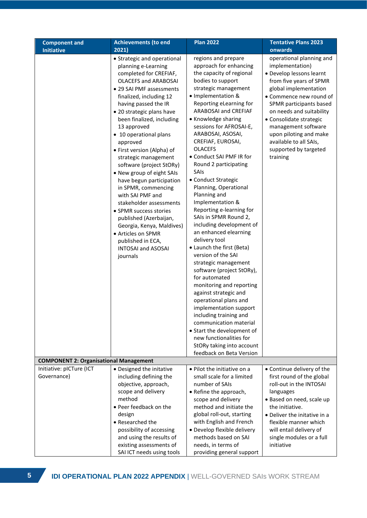| <b>Component and</b>                          | <b>Achievements (to end</b>                                                                                                                                                                                                                                                                                                                                                                                                                                                                                                                                                                                                                                                                     | <b>Plan 2022</b><br><b>Tentative Plans 2023</b>                                                                                                                                                                                                                                                                                                                                                                                                                                                                                                                                                                                                                                                                                                                                                                                                                                                                                                                                                  |                                                                                                                                                                                                                                                                                                                                                          |  |  |  |
|-----------------------------------------------|-------------------------------------------------------------------------------------------------------------------------------------------------------------------------------------------------------------------------------------------------------------------------------------------------------------------------------------------------------------------------------------------------------------------------------------------------------------------------------------------------------------------------------------------------------------------------------------------------------------------------------------------------------------------------------------------------|--------------------------------------------------------------------------------------------------------------------------------------------------------------------------------------------------------------------------------------------------------------------------------------------------------------------------------------------------------------------------------------------------------------------------------------------------------------------------------------------------------------------------------------------------------------------------------------------------------------------------------------------------------------------------------------------------------------------------------------------------------------------------------------------------------------------------------------------------------------------------------------------------------------------------------------------------------------------------------------------------|----------------------------------------------------------------------------------------------------------------------------------------------------------------------------------------------------------------------------------------------------------------------------------------------------------------------------------------------------------|--|--|--|
| <b>Initiative</b>                             | 2021)                                                                                                                                                                                                                                                                                                                                                                                                                                                                                                                                                                                                                                                                                           |                                                                                                                                                                                                                                                                                                                                                                                                                                                                                                                                                                                                                                                                                                                                                                                                                                                                                                                                                                                                  | onwards                                                                                                                                                                                                                                                                                                                                                  |  |  |  |
|                                               | • Strategic and operational<br>planning e-Learning<br>completed for CREFIAF,<br><b>OLACEFS and ARABOSAI</b><br>• 29 SAI PMF assessments<br>finalized, including 12<br>having passed the IR<br>• 20 strategic plans have<br>been finalized, including<br>13 approved<br>• 10 operational plans<br>approved<br>• First version (Alpha) of<br>strategic management<br>software (project StORy)<br>• New group of eight SAIs<br>have begun participation<br>in SPMR, commencing<br>with SAI PMF and<br>stakeholder assessments<br>• SPMR success stories<br>published (Azerbaijan,<br>Georgia, Kenya, Maldives)<br>• Articles on SPMR<br>published in ECA,<br><b>INTOSAI and ASOSAI</b><br>journals | regions and prepare<br>approach for enhancing<br>the capacity of regional<br>bodies to support<br>strategic management<br>· Implementation &<br>Reporting eLearning for<br>ARABOSAI and CREFIAF<br>• Knowledge sharing<br>sessions for AFROSAI-E,<br>ARABOSAI, ASOSAI,<br>CREFIAF, EUROSAI,<br><b>OLACEFS</b><br>• Conduct SAI PMF IR for<br>Round 2 participating<br>SAIs<br>• Conduct Strategic<br>Planning, Operational<br>Planning and<br>Implementation &<br>Reporting e-learning for<br>SAIs in SPMR Round 2,<br>including development of<br>an enhanced elearning<br>delivery tool<br>• Launch the first (Beta)<br>version of the SAI<br>strategic management<br>software (project StORy),<br>for automated<br>monitoring and reporting<br>against strategic and<br>operational plans and<br>implementation support<br>including training and<br>communication material<br>• Start the development of<br>new functionalities for<br>StORy taking into account<br>feedback on Beta Version | operational planning and<br>implementation)<br>· Develop lessons learnt<br>from five years of SPMR<br>global implementation<br>• Commence new round of<br>SPMR participants based<br>on needs and suitability<br>• Consolidate strategic<br>management software<br>upon piloting and make<br>available to all SAIs,<br>supported by targeted<br>training |  |  |  |
| <b>COMPONENT 2: Organisational Management</b> |                                                                                                                                                                                                                                                                                                                                                                                                                                                                                                                                                                                                                                                                                                 |                                                                                                                                                                                                                                                                                                                                                                                                                                                                                                                                                                                                                                                                                                                                                                                                                                                                                                                                                                                                  |                                                                                                                                                                                                                                                                                                                                                          |  |  |  |
| Initiative: pICTure (ICT                      | • Designed the initative                                                                                                                                                                                                                                                                                                                                                                                                                                                                                                                                                                                                                                                                        | • Pilot the initiative on a                                                                                                                                                                                                                                                                                                                                                                                                                                                                                                                                                                                                                                                                                                                                                                                                                                                                                                                                                                      | • Continue delivery of the                                                                                                                                                                                                                                                                                                                               |  |  |  |
| Governance)                                   | including defining the                                                                                                                                                                                                                                                                                                                                                                                                                                                                                                                                                                                                                                                                          | small scale for a limited                                                                                                                                                                                                                                                                                                                                                                                                                                                                                                                                                                                                                                                                                                                                                                                                                                                                                                                                                                        | first round of the global                                                                                                                                                                                                                                                                                                                                |  |  |  |
|                                               | objective, approach,                                                                                                                                                                                                                                                                                                                                                                                                                                                                                                                                                                                                                                                                            | number of SAIs                                                                                                                                                                                                                                                                                                                                                                                                                                                                                                                                                                                                                                                                                                                                                                                                                                                                                                                                                                                   | roll-out in the INTOSAI                                                                                                                                                                                                                                                                                                                                  |  |  |  |
|                                               | scope and delivery                                                                                                                                                                                                                                                                                                                                                                                                                                                                                                                                                                                                                                                                              | • Refine the approach,                                                                                                                                                                                                                                                                                                                                                                                                                                                                                                                                                                                                                                                                                                                                                                                                                                                                                                                                                                           | languages                                                                                                                                                                                                                                                                                                                                                |  |  |  |
|                                               | method                                                                                                                                                                                                                                                                                                                                                                                                                                                                                                                                                                                                                                                                                          | scope and delivery                                                                                                                                                                                                                                                                                                                                                                                                                                                                                                                                                                                                                                                                                                                                                                                                                                                                                                                                                                               | · Based on need, scale up                                                                                                                                                                                                                                                                                                                                |  |  |  |
|                                               | • Peer feedback on the                                                                                                                                                                                                                                                                                                                                                                                                                                                                                                                                                                                                                                                                          | method and initiate the                                                                                                                                                                                                                                                                                                                                                                                                                                                                                                                                                                                                                                                                                                                                                                                                                                                                                                                                                                          | the initiative.                                                                                                                                                                                                                                                                                                                                          |  |  |  |
|                                               | design                                                                                                                                                                                                                                                                                                                                                                                                                                                                                                                                                                                                                                                                                          | global roll-out, starting                                                                                                                                                                                                                                                                                                                                                                                                                                                                                                                                                                                                                                                                                                                                                                                                                                                                                                                                                                        | • Deliver the initative in a                                                                                                                                                                                                                                                                                                                             |  |  |  |
|                                               | • Researched the                                                                                                                                                                                                                                                                                                                                                                                                                                                                                                                                                                                                                                                                                | with English and French                                                                                                                                                                                                                                                                                                                                                                                                                                                                                                                                                                                                                                                                                                                                                                                                                                                                                                                                                                          | flexible manner which                                                                                                                                                                                                                                                                                                                                    |  |  |  |
|                                               | possibility of accessing                                                                                                                                                                                                                                                                                                                                                                                                                                                                                                                                                                                                                                                                        | • Develop flexible delivery                                                                                                                                                                                                                                                                                                                                                                                                                                                                                                                                                                                                                                                                                                                                                                                                                                                                                                                                                                      | will entail delivery of                                                                                                                                                                                                                                                                                                                                  |  |  |  |
|                                               | and using the results of                                                                                                                                                                                                                                                                                                                                                                                                                                                                                                                                                                                                                                                                        | methods based on SAI                                                                                                                                                                                                                                                                                                                                                                                                                                                                                                                                                                                                                                                                                                                                                                                                                                                                                                                                                                             | single modules or a full                                                                                                                                                                                                                                                                                                                                 |  |  |  |
|                                               | existing assessments of<br>SAI ICT needs using tools                                                                                                                                                                                                                                                                                                                                                                                                                                                                                                                                                                                                                                            | needs, in terms of<br>providing general support                                                                                                                                                                                                                                                                                                                                                                                                                                                                                                                                                                                                                                                                                                                                                                                                                                                                                                                                                  | initiative                                                                                                                                                                                                                                                                                                                                               |  |  |  |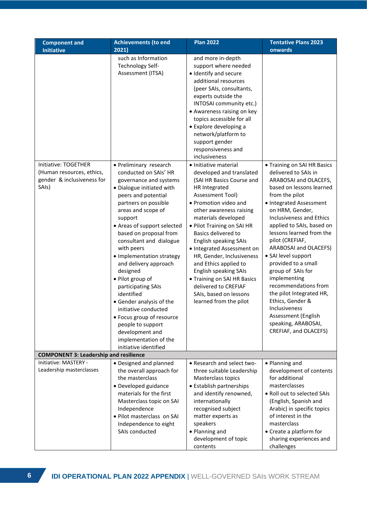| <b>Component and</b><br><b>Initiative</b>                                                | <b>Achievements (to end</b><br>2021)                                                                                                                                                                                                                                                                                                                                                                                                                                                                                                                                                                                                                          | <b>Plan 2022</b>                                                                                                                                                                                                                                                                                                                                                                                                                                                                                                                                                                                                                                                                                                                                                                                                                                                    | <b>Tentative Plans 2023</b><br>onwards                                                                                                                                                                                                                                                                                                                                                                                                                                                                                                                       |
|------------------------------------------------------------------------------------------|---------------------------------------------------------------------------------------------------------------------------------------------------------------------------------------------------------------------------------------------------------------------------------------------------------------------------------------------------------------------------------------------------------------------------------------------------------------------------------------------------------------------------------------------------------------------------------------------------------------------------------------------------------------|---------------------------------------------------------------------------------------------------------------------------------------------------------------------------------------------------------------------------------------------------------------------------------------------------------------------------------------------------------------------------------------------------------------------------------------------------------------------------------------------------------------------------------------------------------------------------------------------------------------------------------------------------------------------------------------------------------------------------------------------------------------------------------------------------------------------------------------------------------------------|--------------------------------------------------------------------------------------------------------------------------------------------------------------------------------------------------------------------------------------------------------------------------------------------------------------------------------------------------------------------------------------------------------------------------------------------------------------------------------------------------------------------------------------------------------------|
| Initiative: TOGETHER<br>(Human resources, ethics,<br>gender & inclusiveness for<br>SAIs) | such as Information<br>Technology Self-<br>Assessment (ITSA)<br>• Preliminary research<br>conducted on SAIs' HR<br>governance and systems<br>· Dialogue initiated with<br>peers and potential<br>partners on possible<br>areas and scope of<br>support<br>• Areas of support selected<br>based on proposal from<br>consultant and dialogue<br>with peers<br>• Implementation strategy<br>and delivery approach<br>designed<br>· Pilot group of<br>participating SAIs<br>identified<br>• Gender analysis of the<br>initiative conducted<br>• Focus group of resource<br>people to support<br>development and<br>implementation of the<br>initiative identified | and more in-depth<br>support where needed<br>· Identify and secure<br>additional resources<br>(peer SAIs, consultants,<br>experts outside the<br>INTOSAI community etc.)<br>• Awareness raising on key<br>topics accessible for all<br>• Explore developing a<br>network/platform to<br>support gender<br>responsiveness and<br>inclusiveness<br>• Initiative material<br>developed and translated<br>(SAI HR Basics Course and<br>HR Integrated<br>Assessment Tool)<br>• Promotion video and<br>other awareness raising<br>materials developed<br>• Pilot Training on SAI HR<br>Basics delivered to<br><b>English speaking SAIs</b><br>• Integrated Assessment on<br>HR, Gender, Inclusiveness<br>and Ethics applied to<br><b>English speaking SAIs</b><br>• Training on SAI HR Basics<br>delivered to CREFIAF<br>SAIs, based on lessons<br>learned from the pilot | • Training on SAI HR Basics<br>delivered to SAIs in<br>ARABOSAI and OLACEFS,<br>based on lessons learned<br>from the pilot<br>• Integrated Assessment<br>on HRM, Gender,<br>Inclusiveness and Ethics<br>applied to SAIs, based on<br>lessons learned from the<br>pilot (CREFIAF,<br>ARABOSAI and OLACEFS)<br>• SAI level support<br>provided to a small<br>group of SAIs for<br>implementing<br>recommendations from<br>the pilot Integrated HR,<br>Ethics, Gender &<br>Inclusiveness<br>Assessment (English<br>speaking, ARABOSAI,<br>CREFIAF, and OLACEFS) |
| <b>COMPONENT 3: Leadership and resilience</b>                                            |                                                                                                                                                                                                                                                                                                                                                                                                                                                                                                                                                                                                                                                               |                                                                                                                                                                                                                                                                                                                                                                                                                                                                                                                                                                                                                                                                                                                                                                                                                                                                     |                                                                                                                                                                                                                                                                                                                                                                                                                                                                                                                                                              |
| Initiative: MASTERY -<br>Leadership masterclasses                                        | • Designed and planned<br>the overall approach for<br>the masterclass<br>· Developed guidance<br>materials for the first<br>Masterclass topic on SAI<br>Independence<br>• Pilot masterclass on SAI<br>Independence to eight<br>SAIs conducted                                                                                                                                                                                                                                                                                                                                                                                                                 | • Research and select two-<br>three suitable Leadership<br>Masterclass topics<br>• Establish partnerships<br>and identify renowned,<br>internationally<br>recognised subject<br>matter experts as<br>speakers<br>• Planning and<br>development of topic<br>contents                                                                                                                                                                                                                                                                                                                                                                                                                                                                                                                                                                                                 | • Planning and<br>development of contents<br>for additional<br>masterclasses<br>. Roll out to selected SAIs<br>(English, Spanish and<br>Arabic) in specific topics<br>of interest in the<br>masterclass<br>• Create a platform for<br>sharing experiences and<br>challenges                                                                                                                                                                                                                                                                                  |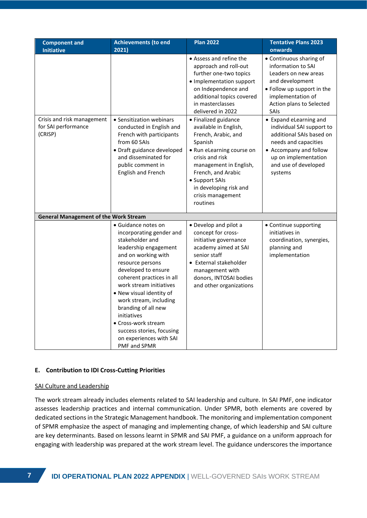| <b>Component and</b>                                         | <b>Achievements (to end</b>                                                                                                                                                                                                                                                                                                                                                                                      | <b>Plan 2022</b>                                                                                                                                                                                                                                             | <b>Tentative Plans 2023</b>                                                                                                                                                                  |  |  |  |  |
|--------------------------------------------------------------|------------------------------------------------------------------------------------------------------------------------------------------------------------------------------------------------------------------------------------------------------------------------------------------------------------------------------------------------------------------------------------------------------------------|--------------------------------------------------------------------------------------------------------------------------------------------------------------------------------------------------------------------------------------------------------------|----------------------------------------------------------------------------------------------------------------------------------------------------------------------------------------------|--|--|--|--|
| <b>Initiative</b>                                            | 2021)                                                                                                                                                                                                                                                                                                                                                                                                            |                                                                                                                                                                                                                                                              | onwards                                                                                                                                                                                      |  |  |  |  |
|                                                              |                                                                                                                                                                                                                                                                                                                                                                                                                  | • Assess and refine the<br>approach and roll-out<br>further one-two topics<br>• Implementation support<br>on Independence and<br>additional topics covered<br>in masterclasses<br>delivered in 2022                                                          | • Continuous sharing of<br>information to SAI<br>Leaders on new areas<br>and development<br>• Follow up support in the<br>implementation of<br>Action plans to Selected<br>SAIs              |  |  |  |  |
| Crisis and risk management<br>for SAI performance<br>(CRISP) | • Sensitization webinars<br>conducted in English and<br>French with participants<br>from 60 SAIs<br>· Draft guidance developed<br>and disseminated for<br>public comment in<br>English and French                                                                                                                                                                                                                | • Finalized guidance<br>available in English,<br>French, Arabic, and<br>Spanish<br>• Run eLearning course on<br>crisis and risk<br>management in English,<br>French, and Arabic<br>• Support SAIs<br>in developing risk and<br>crisis management<br>routines | • Expand eLearning and<br>individual SAI support to<br>additional SAIs based on<br>needs and capacities<br>• Accompany and follow<br>up on implementation<br>and use of developed<br>systems |  |  |  |  |
| <b>General Management of the Work Stream</b>                 |                                                                                                                                                                                                                                                                                                                                                                                                                  |                                                                                                                                                                                                                                                              |                                                                                                                                                                                              |  |  |  |  |
|                                                              | · Guidance notes on<br>incorporating gender and<br>stakeholder and<br>leadership engagement<br>and on working with<br>resource persons<br>developed to ensure<br>coherent practices in all<br>work stream initiatives<br>• New visual identity of<br>work stream, including<br>branding of all new<br>initiatives<br>• Cross-work stream<br>success stories, focusing<br>on experiences with SAI<br>PMF and SPMR | • Develop and pilot a<br>concept for cross-<br>initiative governance<br>academy aimed at SAI<br>senior staff<br>• External stakeholder<br>management with<br>donors, INTOSAI bodies<br>and other organizations                                               | • Continue supporting<br>initiatives in<br>coordination, synergies,<br>planning and<br>implementation                                                                                        |  |  |  |  |

#### **E. Contribution to IDI Cross-Cutting Priorities**

#### SAI Culture and Leadership

The work stream already includes elements related to SAI leadership and culture. In SAI PMF, one indicator assesses leadership practices and internal communication. Under SPMR, both elements are covered by dedicated sections in the Strategic Management handbook. The monitoring and implementation component of SPMR emphasize the aspect of managing and implementing change, of which leadership and SAI culture are key determinants. Based on lessons learnt in SPMR and SAI PMF, a guidance on a uniform approach for engaging with leadership was prepared at the work stream level. The guidance underscores the importance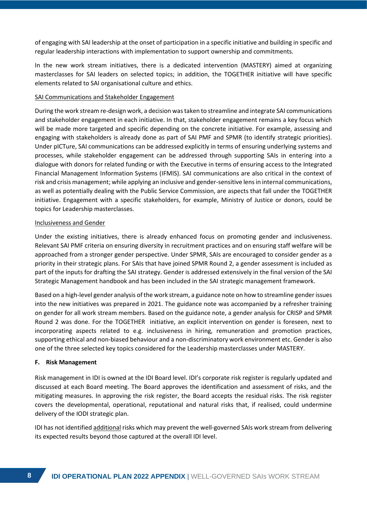of engaging with SAI leadership at the onset of participation in a specific initiative and building in specific and regular leadership interactions with implementation to support ownership and commitments.

In the new work stream initiatives, there is a dedicated intervention (MASTERY) aimed at organizing masterclasses for SAI leaders on selected topics; in addition, the TOGETHER initiative will have specific elements related to SAI organisational culture and ethics.

#### SAI Communications and Stakeholder Engagement

During the work stream re-design work, a decision was taken to streamline and integrate SAI communications and stakeholder engagement in each initiative. In that, stakeholder engagement remains a key focus which will be made more targeted and specific depending on the concrete initiative. For example, assessing and engaging with stakeholders is already done as part of SAI PMF and SPMR (to identify strategic priorities). Under pICTure, SAI communications can be addressed explicitly in terms of ensuring underlying systems and processes, while stakeholder engagement can be addressed through supporting SAIs in entering into a dialogue with donors for related funding or with the Executive in terms of ensuring access to the Integrated Financial Management Information Systems (IFMIS). SAI communications are also critical in the context of risk and crisis management; while applying an inclusive and gender-sensitive lens in internal communications, as well as potentially dealing with the Public Service Commission, are aspects that fall under the TOGETHER initiative. Engagement with a specific stakeholders, for example, Ministry of Justice or donors, could be topics for Leadership masterclasses.

#### Inclusiveness and Gender

Under the existing initiatives, there is already enhanced focus on promoting gender and inclusiveness. Relevant SAI PMF criteria on ensuring diversity in recruitment practices and on ensuring staff welfare will be approached from a stronger gender perspective. Under SPMR, SAIs are encouraged to consider gender as a priority in their strategic plans. For SAIs that have joined SPMR Round 2, a gender assessment is included as part of the inputs for drafting the SAI strategy. Gender is addressed extensively in the final version of the SAI Strategic Management handbook and has been included in the SAI strategic management framework.

Based on a high-level gender analysis of the work stream, a guidance note on how to streamline gender issues into the new initiatives was prepared in 2021. The guidance note was accompanied by a refresher training on gender for all work stream members. Based on the guidance note, a gender analysis for CRISP and SPMR Round 2 was done. For the TOGETHER initiative, an explicit intervention on gender is foreseen, next to incorporating aspects related to e.g. inclusiveness in hiring, remuneration and promotion practices, supporting ethical and non-biased behaviour and a non-discriminatory work environment etc. Gender is also one of the three selected key topics considered for the Leadership masterclasses under MASTERY.

#### **F. Risk Management**

Risk management in IDI is owned at the IDI Board level. IDI's corporate risk register is regularly updated and discussed at each Board meeting. The Board approves the identification and assessment of risks, and the mitigating measures. In approving the risk register, the Board accepts the residual risks. The risk register covers the developmental, operational, reputational and natural risks that, if realised, could undermine delivery of the IODI strategic plan.

IDI has not identified additional risks which may prevent the well-governed SAIs work stream from delivering its expected results beyond those captured at the overall IDI level.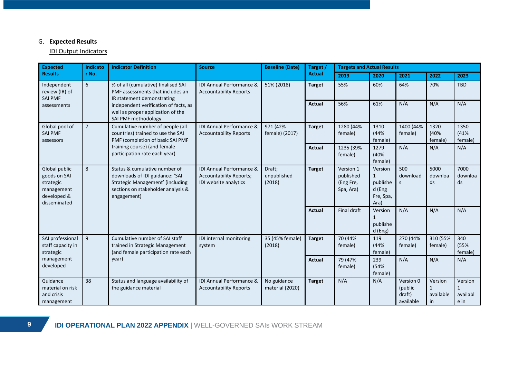# G. **Expected Results**

## IDI Output Indicators

| <b>Expected</b>                                                                         | Indicato       | <b>Indicator Definition</b>                                                                                                                                                | <b>Source</b>                                                                       | <b>Baseline (Date)</b>          | Target /<br><b>Targets and Actual Results</b> |                                                  |                                                                    |                                             |                                            |                                  |
|-----------------------------------------------------------------------------------------|----------------|----------------------------------------------------------------------------------------------------------------------------------------------------------------------------|-------------------------------------------------------------------------------------|---------------------------------|-----------------------------------------------|--------------------------------------------------|--------------------------------------------------------------------|---------------------------------------------|--------------------------------------------|----------------------------------|
| <b>Results</b>                                                                          | r No.          |                                                                                                                                                                            |                                                                                     |                                 | <b>Actual</b>                                 | 2019                                             | 2020                                                               | 2021                                        | 2022                                       | 2023                             |
| Independent<br>review (IR) of<br><b>SAI PMF</b>                                         | 6              | % of all (cumulative) finalised SAI<br>PMF assessments that includes an<br>IR statement demonstrating                                                                      | IDI Annual Performance &<br>51% (2018)<br><b>Accountability Reports</b>             |                                 | <b>Target</b>                                 | 55%                                              | 60%                                                                | 64%                                         | 70%                                        | <b>TBD</b>                       |
| assessments                                                                             |                | independent verification of facts, as<br>well as proper application of the<br>SAI PMF methodology                                                                          |                                                                                     |                                 | <b>Actual</b>                                 | 56%                                              | 61%                                                                | N/A                                         | N/A                                        | N/A                              |
| Global pool of<br><b>SAI PMF</b><br>assessors                                           | $\overline{7}$ | Cumulative number of people (all<br>countries) trained to use the SAI<br>PMF (completion of basic SAI PMF<br>training course) (and female<br>participation rate each year) | IDI Annual Performance &<br><b>Accountability Reports</b>                           | 971 (42%<br>female) (2017)      | <b>Target</b>                                 | 1280 (44%<br>female)                             | 1310<br>(44%<br>female)                                            | 1400 (44%<br>female)                        | 1320<br>(40%<br>female)                    | 1350<br>(41%<br>female)          |
|                                                                                         |                |                                                                                                                                                                            |                                                                                     |                                 | <b>Actual</b>                                 | 1235 (39%<br>female)                             | 1279<br>(40%<br>female)                                            | N/A                                         | N/A                                        | N/A                              |
| Global public<br>goods on SAI<br>strategic<br>management<br>developed &<br>disseminated | 8              | Status & cumulative number of<br>downloads of IDI guidance: 'SAI<br>Strategic Management' (including<br>sections on stakeholder analysis &<br>engagement)                  | IDI Annual Performance &<br><b>Accountability Reports;</b><br>IDI website analytics | Draft;<br>unpublished<br>(2018) | <b>Target</b>                                 | Version 1<br>published<br>(Eng Fre,<br>Spa, Ara) | Version<br>$\mathbf{1}$<br>publishe<br>d (Eng<br>Fre, Spa,<br>Ara) | 500<br>download<br>S.                       | 5000<br>downloa<br>ds                      | 7000<br>downloa<br>ds            |
|                                                                                         |                |                                                                                                                                                                            |                                                                                     |                                 | <b>Actual</b>                                 | Final draft                                      | Version<br>publishe<br>d (Eng)                                     | N/A                                         | N/A                                        | N/A                              |
| SAI professional<br>staff capacity in<br>strategic                                      | 9              | Cumulative number of SAI staff<br>trained in Strategic Management<br>(and female participation rate each<br>year)                                                          | IDI internal monitoring<br>system                                                   | 35 (45% female)<br>(2018)       | <b>Target</b>                                 | 70 (44%<br>female)                               | 119<br>(44%<br>female)                                             | 270 (44%<br>female)                         | 310 (55%<br>female)                        | 340<br>(55%<br>female)           |
| management<br>developed                                                                 |                |                                                                                                                                                                            |                                                                                     |                                 | <b>Actual</b>                                 | 79 (47%<br>female)                               | 239<br>(54%<br>female)                                             | N/A                                         | N/A                                        | N/A                              |
| Guidance<br>material on risk<br>and crisis<br>management                                | 38             | Status and language availability of<br>the guidance material                                                                                                               | IDI Annual Performance &<br><b>Accountability Reports</b>                           | No guidance<br>material (2020)  | <b>Target</b>                                 | N/A                                              | N/A                                                                | Version 0<br>(public<br>draft)<br>available | Version<br>$\mathbf{1}$<br>available<br>in | Version<br>1<br>availabl<br>e in |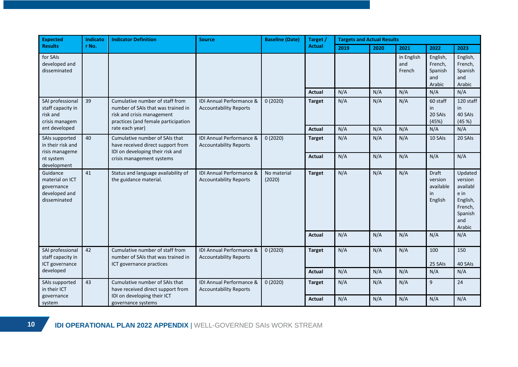| <b>Expected</b>                                                            | Indicato | <b>Indicator Definition</b>                                                                                                                | <b>Baseline (Date)</b><br><b>Source</b>                   |                       | Target /      | <b>Targets and Actual Results</b> |      |                             |                                                       |                                                                                           |
|----------------------------------------------------------------------------|----------|--------------------------------------------------------------------------------------------------------------------------------------------|-----------------------------------------------------------|-----------------------|---------------|-----------------------------------|------|-----------------------------|-------------------------------------------------------|-------------------------------------------------------------------------------------------|
| <b>Results</b>                                                             | r No.    |                                                                                                                                            |                                                           |                       | <b>Actual</b> | 2019                              | 2020 | 2021                        | 2022                                                  | 2023                                                                                      |
| for SAIs<br>developed and<br>disseminated                                  |          |                                                                                                                                            |                                                           |                       |               |                                   |      | in English<br>and<br>French | English,<br>French,<br>Spanish<br>and<br>Arabic       | English,<br>French,<br>Spanish<br>and<br>Arabic                                           |
|                                                                            |          |                                                                                                                                            |                                                           |                       | Actual        | N/A                               | N/A  | N/A                         | N/A                                                   | N/A                                                                                       |
| SAI professional<br>staff capacity in<br>risk and<br>crisis managem        | 39       | Cumulative number of staff from<br>number of SAIs that was trained in<br>risk and crisis management<br>practices (and female participation | IDI Annual Performance &<br><b>Accountability Reports</b> | 0(2020)               | <b>Target</b> | N/A                               | N/A  | N/A                         | 60 staff<br>in<br>20 SAIs<br>(45%)                    | 120 staff<br>in<br>40 SAIs<br>(45%)                                                       |
| ent developed                                                              |          | rate each year)                                                                                                                            |                                                           |                       | <b>Actual</b> | N/A                               | N/A  | N/A                         | N/A                                                   | N/A                                                                                       |
| SAIs supported<br>in their risk and<br>risis manageme                      | 40       | Cumulative number of SAIs that<br>have received direct support from<br>IDI on developing their risk and<br>crisis management systems       | IDI Annual Performance &<br><b>Accountability Reports</b> | 0(2020)               | <b>Target</b> | N/A                               | N/A  | N/A                         | 10 SAIs                                               | 20 SAIs                                                                                   |
| nt system<br>development                                                   |          |                                                                                                                                            |                                                           |                       | Actual        | N/A                               | N/A  | N/A                         | N/A                                                   | N/A                                                                                       |
| Guidance<br>material on ICT<br>governance<br>developed and<br>disseminated | 41       | Status and language availability of<br>the guidance material.                                                                              | IDI Annual Performance &<br><b>Accountability Reports</b> | No material<br>(2020) | <b>Target</b> | N/A                               | N/A  | N/A                         | <b>Draft</b><br>version<br>available<br>in<br>English | Updated<br>version<br>availabl<br>e in<br>English,<br>French,<br>Spanish<br>and<br>Arabic |
|                                                                            |          |                                                                                                                                            |                                                           |                       | <b>Actual</b> | N/A                               | N/A  | N/A                         | N/A                                                   | N/A                                                                                       |
| SAI professional<br>staff capacity in<br>ICT governance                    | 42       | Cumulative number of staff from<br>number of SAIs that was trained in<br>ICT governance practices                                          | IDI Annual Performance &<br><b>Accountability Reports</b> | 0(2020)               | <b>Target</b> | N/A                               | N/A  | N/A                         | 100<br>25 SAIs                                        | 150<br>40 SAIs                                                                            |
| developed                                                                  |          |                                                                                                                                            |                                                           |                       | Actual        | N/A                               | N/A  | N/A                         | N/A                                                   | N/A                                                                                       |
| SAIs supported<br>in their ICT                                             | 43       | Cumulative number of SAIs that<br>have received direct support from                                                                        | IDI Annual Performance &<br><b>Accountability Reports</b> | 0(2020)               | <b>Target</b> | N/A                               | N/A  | N/A                         | 9                                                     | 24                                                                                        |
| governance<br>system                                                       |          | IDI on developing their ICT<br>governance systems                                                                                          |                                                           |                       | Actual        | N/A                               | N/A  | N/A                         | N/A                                                   | N/A                                                                                       |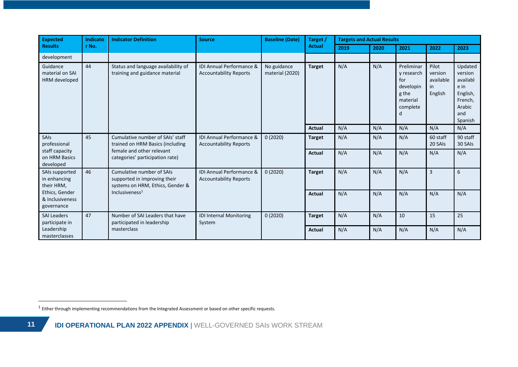| <b>Expected</b>                                 | Indicato                                                                                                                                                                   | <b>Indicator Definition</b>                                                                                                          | <b>Source</b>                                                        | <b>Baseline (Date)</b> | Target /      | <b>Targets and Actual Results</b>                                                  |                                                |                                                                                           |                     |                     |
|-------------------------------------------------|----------------------------------------------------------------------------------------------------------------------------------------------------------------------------|--------------------------------------------------------------------------------------------------------------------------------------|----------------------------------------------------------------------|------------------------|---------------|------------------------------------------------------------------------------------|------------------------------------------------|-------------------------------------------------------------------------------------------|---------------------|---------------------|
| <b>Results</b>                                  | r No.                                                                                                                                                                      |                                                                                                                                      |                                                                      | <b>Actual</b>          |               | 2019                                                                               | 2020                                           | 2021                                                                                      | 2022                | 2023                |
| development                                     |                                                                                                                                                                            |                                                                                                                                      |                                                                      |                        |               |                                                                                    |                                                |                                                                                           |                     |                     |
| Guidance<br>material on SAI<br>HRM developed    | 44<br>IDI Annual Performance &<br>Status and language availability of<br>No guidance<br>training and guidance material<br><b>Accountability Reports</b><br>material (2020) |                                                                                                                                      | <b>Target</b>                                                        | N/A                    | N/A           | Preliminar<br>y research<br>for<br>developin<br>g the<br>material<br>complete<br>d | Pilot<br>version<br>available<br>in<br>English | Updated<br>version<br>availabl<br>e in<br>English,<br>French,<br>Arabic<br>and<br>Spanish |                     |                     |
|                                                 |                                                                                                                                                                            |                                                                                                                                      |                                                                      |                        | Actual        | N/A                                                                                | N/A                                            | N/A                                                                                       | N/A                 | N/A                 |
| <b>SAIS</b><br>professional                     | 45                                                                                                                                                                         | Cumulative number of SAIs' staff<br>trained on HRM Basics (including<br>female and other relevant<br>categories' participation rate) | <b>IDI Annual Performance &amp;</b><br><b>Accountability Reports</b> | 0(2020)                | <b>Target</b> | N/A                                                                                | N/A                                            | N/A                                                                                       | 60 staff<br>20 SAIs | 90 staff<br>30 SAIs |
| staff capacity<br>on HRM Basics<br>developed    |                                                                                                                                                                            |                                                                                                                                      |                                                                      |                        | Actual        | N/A                                                                                | N/A                                            | N/A                                                                                       | N/A                 | N/A                 |
| SAIs supported<br>in enhancing<br>their HRM,    | 46                                                                                                                                                                         | Cumulative number of SAIs<br>supported in improving their<br>systems on HRM, Ethics, Gender &                                        | IDI Annual Performance &<br><b>Accountability Reports</b>            | 0(2020)                | <b>Target</b> | N/A                                                                                | N/A                                            | N/A                                                                                       | $\overline{3}$      | 6                   |
| Ethics, Gender<br>& Inclusiveness<br>governance |                                                                                                                                                                            | Inclusiveness <sup>1</sup>                                                                                                           |                                                                      |                        | <b>Actual</b> | N/A                                                                                | N/A                                            | N/A                                                                                       | N/A                 | N/A                 |
| <b>SAI Leaders</b><br>participate in            | 47                                                                                                                                                                         | Number of SAI Leaders that have<br>participated in leadership                                                                        | <b>IDI Internal Monitoring</b><br>System                             | 0(2020)                | <b>Target</b> | N/A                                                                                | N/A                                            | 10                                                                                        | 15                  | 25                  |
| Leadership<br>masterclasses                     |                                                                                                                                                                            | masterclass                                                                                                                          |                                                                      |                        | <b>Actual</b> | N/A                                                                                | N/A                                            | N/A                                                                                       | N/A                 | N/A                 |

 $1$  Either through implementing recommendations from the Integrated Assessment or based on other specific requests.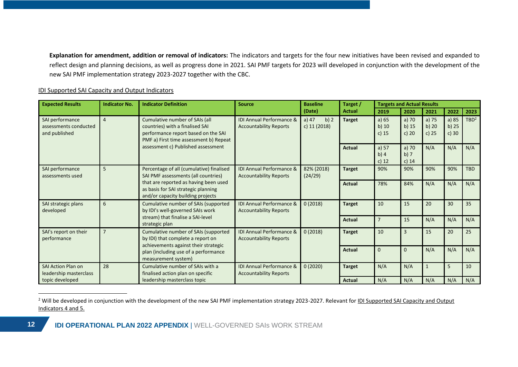**Explanation for amendment, addition or removal of indicators:** The indicators and targets for the four new initiatives have been revised and expanded to reflect design and planning decisions, as well as progress done in 2021. SAI PMF targets for 2023 will developed in conjunction with the development of the new SAI PMF implementation strategy 2023-2027 together with the CBC.

#### IDI Supported SAI Capacity and Output Indicators

| <b>Expected Results</b>                                   | <b>Indicator No.</b>                                                          | <b>Indicator Definition</b>                                                                                                                        | <b>Source</b>                                                        | <b>Baseline</b>                   | Target /      | <b>Targets and Actual Results</b> |                               |                             |                             |                  |
|-----------------------------------------------------------|-------------------------------------------------------------------------------|----------------------------------------------------------------------------------------------------------------------------------------------------|----------------------------------------------------------------------|-----------------------------------|---------------|-----------------------------------|-------------------------------|-----------------------------|-----------------------------|------------------|
|                                                           |                                                                               |                                                                                                                                                    |                                                                      | (Date)                            | <b>Actual</b> | 2019                              | 2020                          | 2021                        | 2022                        | 2023             |
| SAI performance<br>assessments conducted<br>and published | $\overline{4}$                                                                | Cumulative number of SAIs (all<br>countries) with a finalised SAI<br>performance report based on the SAI<br>PMF a) First time assessment b) Repeat | <b>IDI Annual Performance &amp;</b><br><b>Accountability Reports</b> | a) $47$<br>b) $2$<br>c) 11 (2018) | <b>Target</b> | a) $65$<br>$b)$ 10<br>c) $15$     | a) $70$<br>$b)$ 15<br>c) $20$ | a) 75<br>b) $20$<br>c) $25$ | a) 85<br>b) $25$<br>c) $30$ | TBD <sup>2</sup> |
|                                                           |                                                                               | assessment c) Published assessment                                                                                                                 |                                                                      |                                   | <b>Actual</b> | a) $57$<br>b) $4$<br>c) $12$      | a) $70$<br>b)7<br>c) $14$     | N/A                         | N/A                         | N/A              |
| SAI performance<br>assessments used                       | 5                                                                             | Percentage of all (cumulative) finalised<br>SAI PMF assessments (all countries)                                                                    | <b>IDI Annual Performance &amp;</b><br><b>Accountability Reports</b> | 82% (2018)<br>(24/29)             | <b>Target</b> | 90%                               | 90%                           | 90%                         | 90%                         | <b>TBD</b>       |
|                                                           |                                                                               | that are reported as having been used<br>as basis for SAI strategic planning<br>and/or capacity building projects                                  |                                                                      |                                   | <b>Actual</b> | 78%                               | 84%                           | N/A                         | N/A                         | N/A              |
| SAI strategic plans<br>developed                          | 6<br>Cumulative number of SAIs (supported<br>by IDI's well-governed SAIs work | <b>IDI Annual Performance &amp;</b><br><b>Accountability Reports</b>                                                                               | 0(2018)                                                              | <b>Target</b>                     | 10            | 15                                | 20                            | 30                          | 35                          |                  |
|                                                           |                                                                               | stream) that finalise a SAI-level<br>strategic plan                                                                                                |                                                                      |                                   | <b>Actual</b> |                                   | 15                            | N/A                         | N/A                         | N/A              |
| SAI's report on their<br>performance                      | 7                                                                             | Cumulative number of SAIs (supported<br>by IDI) that complete a report on<br>achievements against their strategic                                  | <b>IDI Annual Performance &amp;</b><br><b>Accountability Reports</b> | 0(2018)                           | <b>Target</b> | 10                                | 3                             | 15                          | 20                          | 25               |
|                                                           |                                                                               | plan (including use of a performance<br>measurement system)                                                                                        |                                                                      |                                   | <b>Actual</b> | $\Omega$                          | $\Omega$                      | N/A                         | N/A                         | N/A              |
| <b>SAI Action Plan on</b><br>leadership masterclass       | 28                                                                            | Cumulative number of SAIs with a<br>finalised action plan on specific                                                                              | <b>IDI Annual Performance &amp;</b><br><b>Accountability Reports</b> | 0(2020)                           | <b>Target</b> | N/A                               | N/A                           | $\mathbf{1}$                | 5                           | 10               |
| topic developed                                           |                                                                               | leadership masterclass topic                                                                                                                       |                                                                      |                                   | <b>Actual</b> | N/A                               | N/A                           | N/A                         | N/A                         | N/A              |

<sup>&</sup>lt;sup>2</sup> Will be developed in conjunction with the development of the new SAI PMF implementation strategy 2023-2027. Relevant for IDI Supported SAI Capacity and Output Indicators 4 and 5.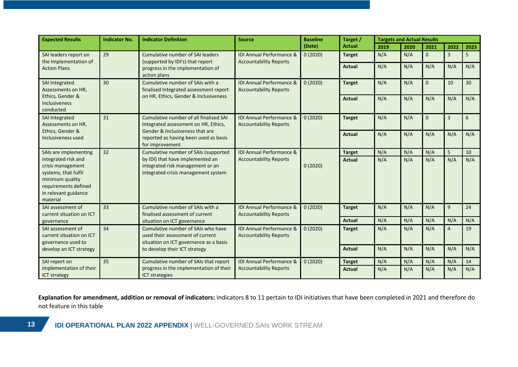| <b>Expected Results</b>                                                                                                                         | <b>Indicator No.</b>                  | <b>Indicator Definition</b>                                                                                      | <b>Source</b>                                                        | <b>Baseline</b> | Target /      |      | <b>Targets and Actual Results</b> |              |                |                 |
|-------------------------------------------------------------------------------------------------------------------------------------------------|---------------------------------------|------------------------------------------------------------------------------------------------------------------|----------------------------------------------------------------------|-----------------|---------------|------|-----------------------------------|--------------|----------------|-----------------|
|                                                                                                                                                 |                                       |                                                                                                                  |                                                                      | (Date)          | <b>Actual</b> | 2019 | 2020                              | 2021         | 2022           | 2023            |
| SAI leaders report on<br>the Implementation of                                                                                                  | 29                                    | Cumulative number of SAI leaders<br>(supported by IDI's) that report                                             | <b>IDI Annual Performance &amp;</b><br><b>Accountability Reports</b> | 0(2020)         | <b>Target</b> | N/A  | N/A                               | $\mathbf{0}$ | 3              | 5               |
| <b>Action Plans</b>                                                                                                                             |                                       | progress in the implementation of<br>action plans                                                                |                                                                      |                 | <b>Actual</b> | N/A  | N/A                               | N/A          | N/A            | N/A             |
| SAI Integrated<br>Assessments on HR,                                                                                                            | 30                                    | Cumulative number of SAIs with a<br>finalised Integrated assessment report                                       | <b>IDI Annual Performance &amp;</b><br><b>Accountability Reports</b> | 0(2020)         | <b>Target</b> | N/A  | N/A                               | $\mathbf 0$  | 10             | 30 <sup>°</sup> |
| Ethics, Gender &<br>Inclusiveness<br>conducted                                                                                                  | on HR, Ethics, Gender & Inclusiveness |                                                                                                                  |                                                                      | <b>Actual</b>   | N/A           | N/A  | N/A                               | N/A          | N/A            |                 |
| SAI Integrated<br>Assessments on HR,                                                                                                            | 31                                    | Cumulative number of all finalised SAI<br>Integrated assessment on HR, Ethics,                                   | <b>IDI Annual Performance &amp;</b><br><b>Accountability Reports</b> | 0(2020)         | <b>Target</b> | N/A  | N/A                               | $\mathbf 0$  | $\overline{3}$ | 6               |
| Ethics, Gender &<br>Inclusiveness used                                                                                                          |                                       | Gender & Inclusiveness that are<br>reported as having been used as basis<br>for improvement                      |                                                                      | <b>Actual</b>   | N/A           | N/A  | N/A                               | N/A          | N/A            |                 |
| SAIs are implementing                                                                                                                           | 32                                    | Cumulative number of SAIs (supported                                                                             | <b>IDI Annual Performance &amp;</b>                                  |                 | <b>Target</b> | N/A  | N/A                               | N/A          | 5              | 10              |
| integrated risk and<br>crisis management<br>systems, that fulfil<br>minimum quality<br>requirements defined<br>in relevant guidance<br>material |                                       | by IDI) that have implemented an<br>integrated risk management or an<br>integrated crisis management system      | <b>Accountability Reports</b>                                        | 0(2020)         | <b>Actual</b> | N/A  | N/A                               | N/A          | N/A            | N/A             |
| SAI assessment of<br>current situation on ICT                                                                                                   | 33                                    | Cumulative number of SAIs with a<br>finalised assessment of current                                              | IDI Annual Performance &<br><b>Accountability Reports</b>            | 0(2020)         | <b>Target</b> | N/A  | N/A                               | N/A          | 9              | 24              |
| governance                                                                                                                                      |                                       | situation on ICT governance                                                                                      |                                                                      |                 | <b>Actual</b> | N/A  | N/A                               | N/A          | N/A            | N/A             |
| SAI assessment of<br>current situation on ICT<br>governance used to                                                                             | 34                                    | Cumulative number of SAIs who have<br>used their assessment of current<br>situation on ICT governance as a basis | IDI Annual Performance &<br><b>Accountability Reports</b>            | 0(2020)         | <b>Target</b> | N/A  | N/A                               | N/A          | $\overline{4}$ | 19              |
| develop an ICT strategy                                                                                                                         |                                       | to develop their ICT strategy                                                                                    |                                                                      |                 | <b>Actual</b> | N/A  | N/A                               | N/A          | N/A            | N/A             |
| SAI report on                                                                                                                                   | 35                                    | Cumulative number of SAIs that report                                                                            | <b>IDI Annual Performance &amp;</b>                                  | 0(2020)         | <b>Target</b> | N/A  | N/A                               | N/A          | N/A            | 14              |
| implementation of their<br>ICT strategy                                                                                                         |                                       | progress in the implementation of their<br><b>ICT strategies</b>                                                 | <b>Accountability Reports</b>                                        |                 | <b>Actual</b> | N/A  | N/A                               | N/A          | N/A            | N/A             |

**Explanation for amendment, addition or removal of indicators:** Indicators 8 to 11 pertain to IDI initiatives that have been completed in 2021 and therefore do not feature in this table